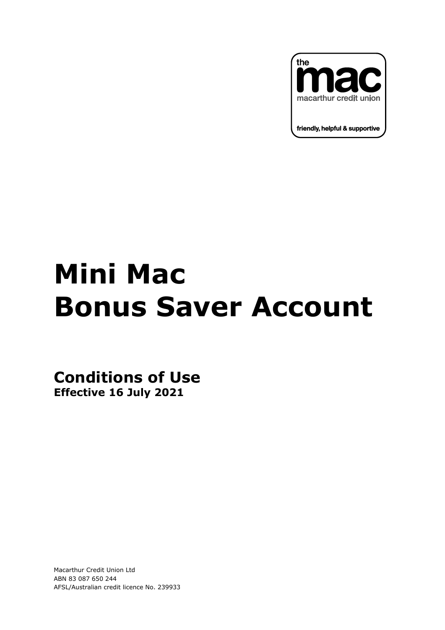

## **Mini Mac Bonus Saver Account**

**Conditions of Use Effective 16 July 2021**

Macarthur Credit Union Ltd ABN 83 087 650 244 AFSL/Australian credit licence No. 239933